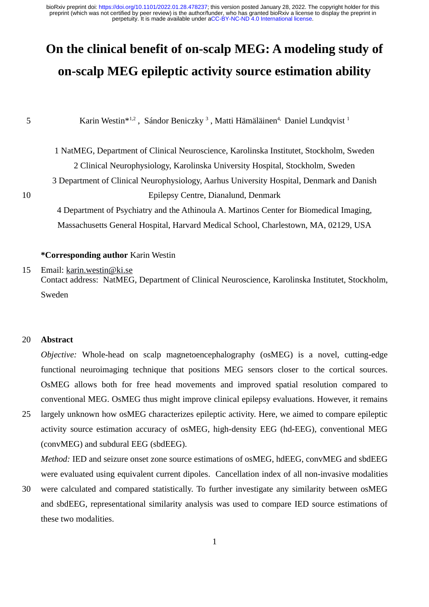# **On the clinical benefit of on-scalp MEG: A modeling study of on-scalp MEG epileptic activity source estimation ability**

5

Karin Westin $*^{1,2}$ , Sándor Beniczky<sup>3</sup>, Matti Hämäläinen<sup>4,</sup> Daniel Lundqvist<sup>1</sup>

1 NatMEG, Department of Clinical Neuroscience, Karolinska Institutet, Stockholm, Sweden 2 Clinical Neurophysiology, Karolinska University Hospital, Stockholm, Sweden 3 Department of Clinical Neurophysiology, Aarhus University Hospital, Denmark and Danish Epilepsy Centre, Dianalund, Denmark

10

4 Department of Psychiatry and the Athinoula A. Martinos Center for Biomedical Imaging, Massachusetts General Hospital, Harvard Medical School, Charlestown, MA, 02129, USA

### **\*Corresponding author** Karin Westin

Email: [karin.westin@ki.se](mailto:karin.westin@ki.se) 15

> Contact address: NatMEG, Department of Clinical Neuroscience, Karolinska Institutet, Stockholm, Sweden

#### **Abstract** 20

*Objective:* Whole-head on scalp magnetoencephalography (osMEG) is a novel, cutting-edge functional neuroimaging technique that positions MEG sensors closer to the cortical sources. OsMEG allows both for free head movements and improved spatial resolution compared to conventional MEG. OsMEG thus might improve clinical epilepsy evaluations. However, it remains

largely unknown how osMEG characterizes epileptic activity. Here, we aimed to compare epileptic activity source estimation accuracy of osMEG, high-density EEG (hd-EEG), conventional MEG (convMEG) and subdural EEG (sbdEEG). 25

*Method:* IED and seizure onset zone source estimations of osMEG, hdEEG, convMEG and sbdEEG were evaluated using equivalent current dipoles. Cancellation index of all non-invasive modalities

were calculated and compared statistically. To further investigate any similarity between osMEG and sbdEEG, representational similarity analysis was used to compare IED source estimations of these two modalities. 30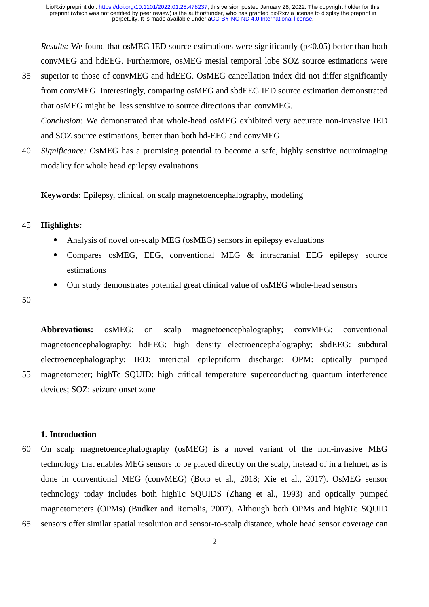*Results:* We found that osMEG IED source estimations were significantly ( $p$ <0.05) better than both convMEG and hdEEG. Furthermore, osMEG mesial temporal lobe SOZ source estimations were

- superior to those of convMEG and hdEEG. OsMEG cancellation index did not differ significantly from convMEG. Interestingly, comparing osMEG and sbdEEG IED source estimation demonstrated that osMEG might be less sensitive to source directions than convMEG. *Conclusion:* We demonstrated that whole-head osMEG exhibited very accurate non-invasive IED and SOZ source estimations, better than both hd-EEG and convMEG. 35
- *Significance:* OsMEG has a promising potential to become a safe, highly sensitive neuroimaging modality for whole head epilepsy evaluations. 40

**Keywords:** Epilepsy, clinical, on scalp magnetoencephalography, modeling

#### **Highlights:** 45

- Analysis of novel on-scalp MEG (osMEG) sensors in epilepsy evaluations
- Compares osMEG, EEG, conventional MEG & intracranial EEG epilepsy source estimations
- Our study demonstrates potential great clinical value of osMEG whole-head sensors

50

55

**Abbrevations:** osMEG: on scalp magnetoencephalography; convMEG: conventional magnetoencephalography; hdEEG: high density electroencephalography; sbdEEG: subdural electroencephalography; IED: interictal epileptiform discharge; OPM: optically pumped magnetometer; highTc SQUID: high critical temperature superconducting quantum interference devices; SOZ: seizure onset zone

### **1. Introduction**

On scalp magnetoencephalography (osMEG) is a novel variant of the non-invasive MEG technology that enables MEG sensors to be placed directly on the scalp, instead of in a helmet, as is done in conventional MEG (convMEG) (Boto et al., 2018; Xie et al., 2017). OsMEG sensor technology today includes both highTc SQUIDS (Zhang et al., 1993) and optically pumped magnetometers (OPMs) (Budker and Romalis, 2007). Although both OPMs and highTc SQUID sensors offer similar spatial resolution and sensor-to-scalp distance, whole head sensor coverage can 60 65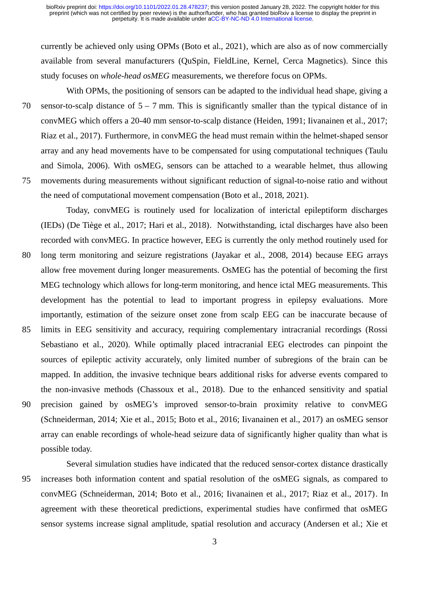currently be achieved only using OPMs (Boto et al., 2021), which are also as of now commercially available from several manufacturers (QuSpin, FieldLine, Kernel, Cerca Magnetics). Since this study focuses on *whole-head osMEG* measurements, we therefore focus on OPMs.

With OPMs, the positioning of sensors can be adapted to the individual head shape, giving a sensor-to-scalp distance of  $5 - 7$  mm. This is significantly smaller than the typical distance of in convMEG which offers a 20-40 mm sensor-to-scalp distance (Heiden, 1991; Iivanainen et al., 2017; Riaz et al., 2017). Furthermore, in convMEG the head must remain within the helmet-shaped sensor array and any head movements have to be compensated for using computational techniques (Taulu and Simola, 2006). With osMEG, sensors can be attached to a wearable helmet, thus allowing movements during measurements without significant reduction of signal-to-noise ratio and without the need of computational movement compensation (Boto et al., 2018, 2021). 70 75

Today, convMEG is routinely used for localization of interictal epileptiform discharges (IEDs) (De Tiège et al., 2017; Hari et al., 2018). Notwithstanding, ictal discharges have also been recorded with convMEG. In practice however, EEG is currently the only method routinely used for long term monitoring and seizure registrations (Jayakar et al., 2008, 2014) because EEG arrays allow free movement during longer measurements. OsMEG has the potential of becoming the first MEG technology which allows for long-term monitoring, and hence ictal MEG measurements. This development has the potential to lead to important progress in epilepsy evaluations. More importantly, estimation of the seizure onset zone from scalp EEG can be inaccurate because of limits in EEG sensitivity and accuracy, requiring complementary intracranial recordings (Rossi Sebastiano et al., 2020). While optimally placed intracranial EEG electrodes can pinpoint the sources of epileptic activity accurately, only limited number of subregions of the brain can be mapped. In addition, the invasive technique bears additional risks for adverse events compared to the non-invasive methods (Chassoux et al., 2018). Due to the enhanced sensitivity and spatial precision gained by osMEG's improved sensor-to-brain proximity relative to convMEG (Schneiderman, 2014; Xie et al., 2015; Boto et al., 2016; Iivanainen et al., 2017) an osMEG sensor array can enable recordings of whole-head seizure data of significantly higher quality than what is possible today. 80 85 90

Several simulation studies have indicated that the reduced sensor-cortex distance drastically increases both information content and spatial resolution of the osMEG signals, as compared to convMEG (Schneiderman, 2014; Boto et al., 2016; Iivanainen et al., 2017; Riaz et al., 2017). In agreement with these theoretical predictions, experimental studies have confirmed that osMEG sensor systems increase signal amplitude, spatial resolution and accuracy (Andersen et al.; Xie et 95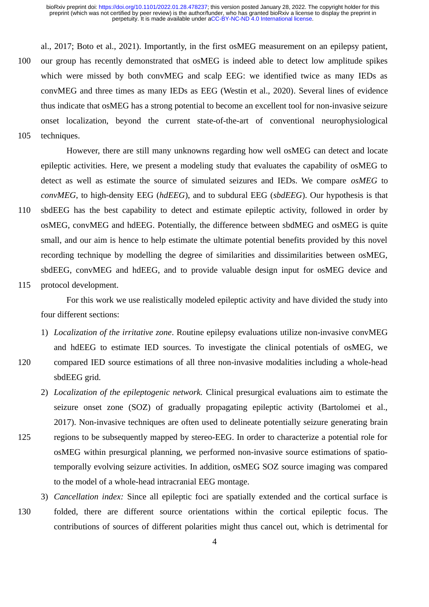al., 2017; Boto et al., 2021). Importantly, in the first osMEG measurement on an epilepsy patient, our group has recently demonstrated that osMEG is indeed able to detect low amplitude spikes which were missed by both convMEG and scalp EEG: we identified twice as many IEDs as convMEG and three times as many IEDs as EEG (Westin et al., 2020). Several lines of evidence thus indicate that osMEG has a strong potential to become an excellent tool for non-invasive seizure onset localization, beyond the current state-of-the-art of conventional neurophysiological techniques. 100

105

110

115

120

125

However, there are still many unknowns regarding how well osMEG can detect and locate epileptic activities. Here, we present a modeling study that evaluates the capability of osMEG to detect as well as estimate the source of simulated seizures and IEDs. We compare *osMEG* to *convMEG*, to high-density EEG (*hdEEG*), and to subdural EEG (*sbdEEG*). Our hypothesis is that sbdEEG has the best capability to detect and estimate epileptic activity, followed in order by osMEG, convMEG and hdEEG. Potentially, the difference between sbdMEG and osMEG is quite small, and our aim is hence to help estimate the ultimate potential benefits provided by this novel recording technique by modelling the degree of similarities and dissimilarities between osMEG, sbdEEG, convMEG and hdEEG, and to provide valuable design input for osMEG device and protocol development.

For this work we use realistically modeled epileptic activity and have divided the study into four different sections:

- 1) *Localization of the irritative zone*. Routine epilepsy evaluations utilize non-invasive convMEG and hdEEG to estimate IED sources. To investigate the clinical potentials of osMEG, we compared IED source estimations of all three non-invasive modalities including a whole-head sbdEEG grid.
- 2) *Localization of the epileptogenic network.* Clinical presurgical evaluations aim to estimate the seizure onset zone (SOZ) of gradually propagating epileptic activity (Bartolomei et al., 2017). Non-invasive techniques are often used to delineate potentially seizure generating brain regions to be subsequently mapped by stereo-EEG. In order to characterize a potential role for osMEG within presurgical planning, we performed non-invasive source estimations of spatiotemporally evolving seizure activities. In addition, osMEG SOZ source imaging was compared
- 3) *Cancellation index:* Since all epileptic foci are spatially extended and the cortical surface is folded, there are different source orientations within the cortical epileptic focus. The contributions of sources of different polarities might thus cancel out, which is detrimental for 130

to the model of a whole-head intracranial EEG montage.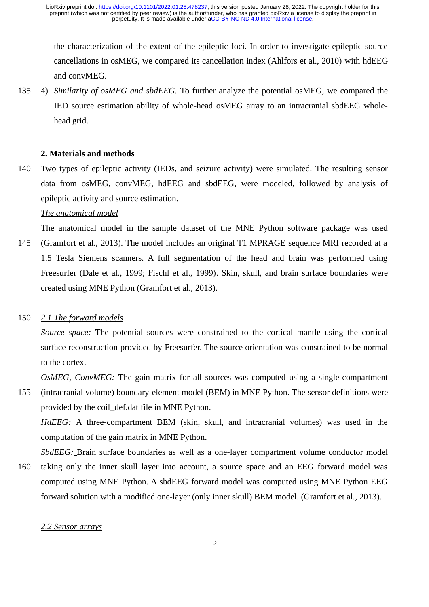the characterization of the extent of the epileptic foci. In order to investigate epileptic source cancellations in osMEG, we compared its cancellation index (Ahlfors et al., 2010) with hdEEG and convMEG.

4) *Similarity of osMEG and sbdEEG.* To further analyze the potential osMEG, we compared the IED source estimation ability of whole-head osMEG array to an intracranial sbdEEG wholehead grid. 135

# **2. Materials and methods**

Two types of epileptic activity (IEDs, and seizure activity) were simulated. The resulting sensor data from osMEG, convMEG, hdEEG and sbdEEG, were modeled, followed by analysis of epileptic activity and source estimation. 140

# *The anatomical model*

The anatomical model in the sample dataset of the MNE Python software package was used (Gramfort et al., 2013). The model includes an original T1 MPRAGE sequence MRI recorded at a 1.5 Tesla Siemens scanners. A full segmentation of the head and brain was performed using Freesurfer (Dale et al., 1999; Fischl et al., 1999). Skin, skull, and brain surface boundaries were created using MNE Python (Gramfort et al., 2013). 145

#### *2.1 The forward models* 150

*Source space:* The potential sources were constrained to the cortical mantle using the cortical surface reconstruction provided by Freesurfer. The source orientation was constrained to be normal to the cortex.

*OsMEG, ConvMEG:* The gain matrix for all sources was computed using a single-compartment

(intracranial volume) boundary-element model (BEM) in MNE Python. The sensor definitions were provided by the coil\_def.dat file in MNE Python. 155

*HdEEG:* A three-compartment BEM (skin, skull, and intracranial volumes) was used in the computation of the gain matrix in MNE Python.

*SbdEEG*: Brain surface boundaries as well as a one-layer compartment volume conductor model

taking only the inner skull layer into account, a source space and an EEG forward model was computed using MNE Python. A sbdEEG forward model was computed using MNE Python EEG forward solution with a modified one-layer (only inner skull) BEM model. (Gramfort et al., 2013). 160

# *2.2 Sensor arrays*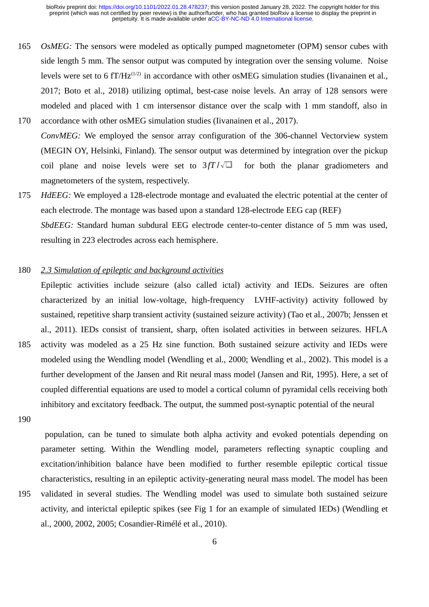- *OsMEG:* The sensors were modeled as optically pumped magnetometer (OPM) sensor cubes with side length 5 mm. The sensor output was computed by integration over the sensing volume. Noise levels were set to 6  $fT/Hz^{(1/2)}$  in accordance with other osMEG simulation studies (Iivanainen et al., 2017; Boto et al., 2018) utilizing optimal, best-case noise levels. An array of 128 sensors were modeled and placed with 1 cm intersensor distance over the scalp with 1 mm standoff, also in accordance with other osMEG simulation studies (Iivanainen et al., 2017). 165 170
- *ConvMEG:* We employed the sensor array configuration of the 306-channel Vectorview system (MEGIN OY, Helsinki, Finland). The sensor output was determined by integration over the pickup coil plane and noise levels were set to  $3fT/\sqrt{\Box}$  for both the planar gradiometers and magnetometers of the system, respectively.
- *HdEEG:* We employed a 128-electrode montage and evaluated the electric potential at the center of each electrode. The montage was based upon a standard 128-electrode EEG cap (REF) *SbdEEG:* Standard human subdural EEG electrode center-to-center distance of 5 mm was used, resulting in 223 electrodes across each hemisphere. 175

#### *2.3 Simulation of epileptic and background activities* 180

Epileptic activities include seizure (also called ictal) activity and IEDs. Seizures are often characterized by an initial low-voltage, high-frequency LVHF-activity) activity followed by sustained, repetitive sharp transient activity (sustained seizure activity) (Tao et al., 2007b; Jenssen et al., 2011). IEDs consist of transient, sharp, often isolated activities in between seizures. HFLA activity was modeled as a 25 Hz sine function. Both sustained seizure activity and IEDs were modeled using the Wendling model (Wendling et al., 2000; Wendling et al., 2002). This model is a further development of the Jansen and Rit neural mass model (Jansen and Rit, 1995). Here, a set of coupled differential equations are used to model a cortical column of pyramidal cells receiving both inhibitory and excitatory feedback. The output, the summed post-synaptic potential of the neural 185

190

195

 population, can be tuned to simulate both alpha activity and evoked potentials depending on parameter setting. Within the Wendling model, parameters reflecting synaptic coupling and excitation/inhibition balance have been modified to further resemble epileptic cortical tissue characteristics, resulting in an epileptic activity-generating neural mass model. The model has been validated in several studies. The Wendling model was used to simulate both sustained seizure activity, and interictal epileptic spikes (see Fig 1 for an example of simulated IEDs) (Wendling et al., 2000, 2002, 2005; Cosandier-Rimélé et al., 2010).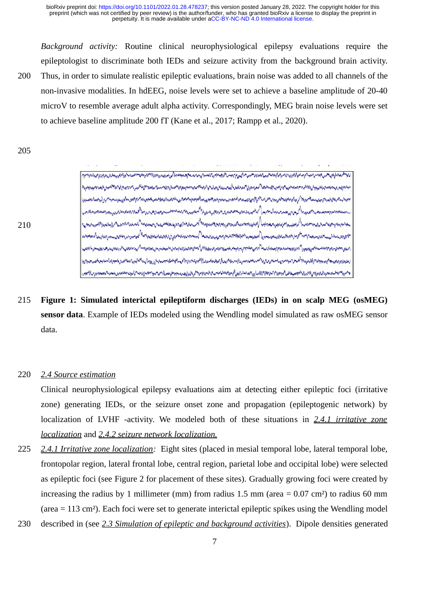*Background activity:* Routine clinical neurophysiological epilepsy evaluations require the epileptologist to discriminate both IEDs and seizure activity from the background brain activity. Thus, in order to simulate realistic epileptic evaluations, brain noise was added to all channels of the non-invasive modalities. In hdEEG, noise levels were set to achieve a baseline amplitude of 20-40 microV to resemble average adult alpha activity. Correspondingly, MEG brain noise levels were set to achieve baseline amplitude 200 fT (Kane et al., 2017; Rampp et al., 2020). 200

والمهوض والمحامل والمرابع والمرابع والمراد والمحادي والمسافر والمسافر والمسافر والمستعمل والمسافر والمعادر والمساور والمساور والمحادث والمستقار والمحادث والمساور والمستقار والمستقار والمستقار والمستقار والمستقار والمستقار

وحموا مواسعة مرداري بالراعي بالأموس والورابي المواجهة الأمي مردان المرابع المواسع المرابع المواسع المواسع المواسع المواسع المواسع المواسع المواسع المواسع المواسع المواسع المواسع المواسع المواسع المواسع المواسع المواسع الم

205

210



**Figure 1: Simulated interictal epileptiform discharges (IEDs) in on scalp MEG (osMEG) sensor data**. Example of IEDs modeled using the Wendling model simulated as raw osMEG sensor data. 215

#### *2.4 Source estimation* 220

Clinical neurophysiological epilepsy evaluations aim at detecting either epileptic foci (irritative zone) generating IEDs, or the seizure onset zone and propagation (epileptogenic network) by localization of LVHF -activity. We modeled both of these situations in *2.4.1 irritative zone localization* and *2.4.2 seizure network localization.*

*2.4.1 Irritative zone localization:* Eight sites (placed in mesial temporal lobe, lateral temporal lobe, frontopolar region, lateral frontal lobe, central region, parietal lobe and occipital lobe) were selected as epileptic foci (see Figure 2 for placement of these sites). Gradually growing foci were created by increasing the radius by 1 millimeter (mm) from radius 1.5 mm (area  $= 0.07$  cm<sup>2</sup>) to radius 60 mm (area = 113 cm²). Each foci were set to generate interictal epileptic spikes using the Wendling model described in (see *2.3 Simulation of epileptic and background activities*). Dipole densities generated 225 230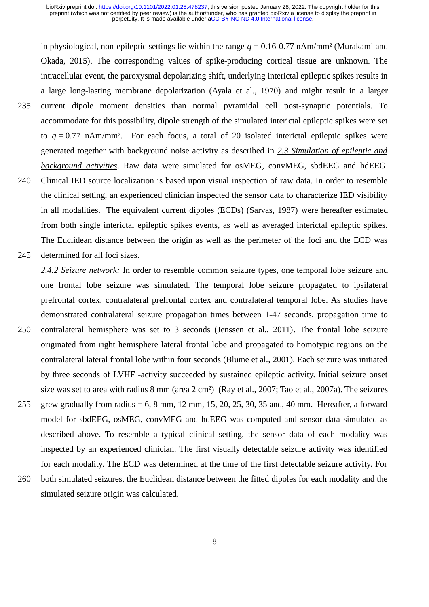in physiological, non-epileptic settings lie within the range *q* = 0.16-0.77 nAm/mm² (Murakami and Okada, 2015). The corresponding values of spike-producing cortical tissue are unknown. The intracellular event, the paroxysmal depolarizing shift, underlying interictal epileptic spikes results in a large long-lasting membrane depolarization (Ayala et al., 1970) and might result in a larger current dipole moment densities than normal pyramidal cell post-synaptic potentials. To accommodate for this possibility, dipole strength of the simulated interictal epileptic spikes were set to  $q = 0.77$  nAm/mm<sup>2</sup>. For each focus, a total of 20 isolated interictal epileptic spikes were generated together with background noise activity as described in *2.3 Simulation of epileptic and background activities*. Raw data were simulated for osMEG, convMEG, sbdEEG and hdEEG. Clinical IED source localization is based upon visual inspection of raw data. In order to resemble the clinical setting, an experienced clinician inspected the sensor data to characterize IED visibility in all modalities. The equivalent current dipoles (ECDs) (Sarvas, 1987) were hereafter estimated from both single interictal epileptic spikes events, as well as averaged interictal epileptic spikes. The Euclidean distance between the origin as well as the perimeter of the foci and the ECD was determined for all foci sizes. 235 240 245

- *2.4.2 Seizure network:* In order to resemble common seizure types, one temporal lobe seizure and one frontal lobe seizure was simulated. The temporal lobe seizure propagated to ipsilateral prefrontal cortex, contralateral prefrontal cortex and contralateral temporal lobe. As studies have demonstrated contralateral seizure propagation times between 1-47 seconds, propagation time to contralateral hemisphere was set to 3 seconds (Jenssen et al., 2011). The frontal lobe seizure originated from right hemisphere lateral frontal lobe and propagated to homotypic regions on the contralateral lateral frontal lobe within four seconds (Blume et al., 2001). Each seizure was initiated by three seconds of LVHF -activity succeeded by sustained epileptic activity. Initial seizure onset size was set to area with radius 8 mm (area 2 cm²) (Ray et al., 2007; Tao et al., 2007a). The seizures grew gradually from radius  $= 6$ , 8 mm, 12 mm, 15, 20, 25, 30, 35 and, 40 mm. Hereafter, a forward model for sbdEEG, osMEG, convMEG and hdEEG was computed and sensor data simulated as described above. To resemble a typical clinical setting, the sensor data of each modality was inspected by an experienced clinician. The first visually detectable seizure activity was identified for each modality. The ECD was determined at the time of the first detectable seizure activity. For both simulated seizures, the Euclidean distance between the fitted dipoles for each modality and the 250 255 260
- 

simulated seizure origin was calculated.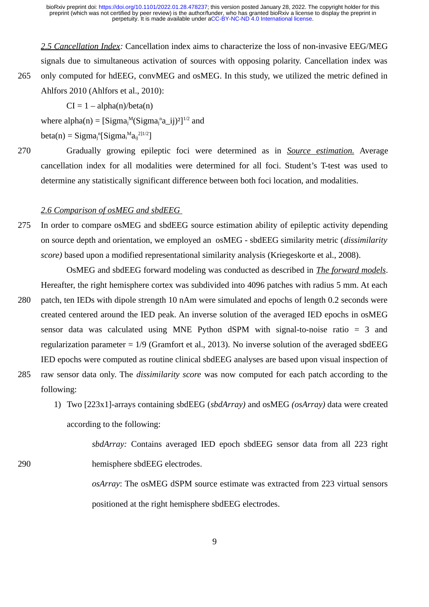*2.5 Cancellation Index:* Cancellation index aims to characterize the loss of non-invasive EEG/MEG signals due to simultaneous activation of sources with opposing polarity. Cancellation index was only computed for hdEEG, convMEG and osMEG. In this study, we utilized the metric defined in Ahlfors 2010 (Ahlfors et al., 2010):

 $CI = 1 - alpha(n)/beta(n)$ 

where  $alpha(n) = [Sigma^M(Sigma_j^n a_i^j)^2]^{1/2}$  and

beta(n) = Sigma<sub>j</sub><sup>n</sup>[Sigma<sub>i</sub><sup>M</sup>a<sub>ij</sub><sup>2]1/2</sup>]

265

290

Gradually growing epileptic foci were determined as in *Source estimation.* Average cancellation index for all modalities were determined for all foci. Student's T-test was used to determine any statistically significant difference between both foci location, and modalities. 270

### *2.6 Comparison of osMEG and sbdEEG*

In order to compare osMEG and sbdEEG source estimation ability of epileptic activity depending on source depth and orientation, we employed an osMEG - sbdEEG similarity metric (*dissimilarity score)* based upon a modified representational similarity analysis (Kriegeskorte et al., 2008). 275

OsMEG and sbdEEG forward modeling was conducted as described in *The forward models*. Hereafter, the right hemisphere cortex was subdivided into 4096 patches with radius 5 mm. At each patch, ten IEDs with dipole strength 10 nAm were simulated and epochs of length 0.2 seconds were created centered around the IED peak. An inverse solution of the averaged IED epochs in osMEG sensor data was calculated using MNE Python dSPM with signal-to-noise ratio = 3 and regularization parameter = 1/9 (Gramfort et al., 2013). No inverse solution of the averaged sbdEEG IED epochs were computed as routine clinical sbdEEG analyses are based upon visual inspection of 280

- raw sensor data only. The *dissimilarity score* was now computed for each patch according to the following: 285
	- 1) Two [223x1]-arrays containing sbdEEG (*sbdArray)* and osMEG *(osArray)* data were created according to the following:

*sbdArray:* Contains averaged IED epoch sbdEEG sensor data from all 223 right hemisphere sbdEEG electrodes.

*osArray*: The osMEG dSPM source estimate was extracted from 223 virtual sensors positioned at the right hemisphere sbdEEG electrodes.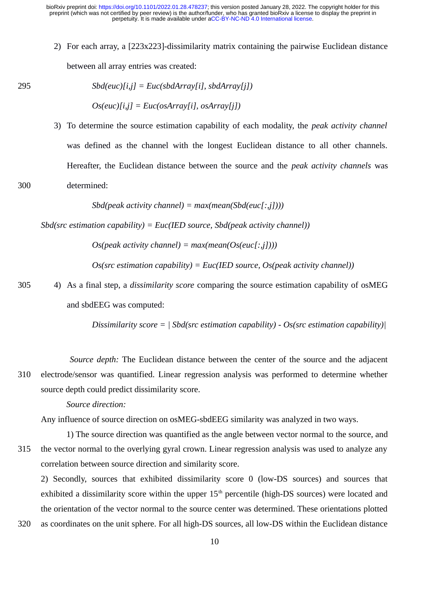2) For each array, a [223x223]-dissimilarity matrix containing the pairwise Euclidean distance between all array entries was created:

*Sbd(euc)[i,j] = Euc(sbdArray[i], sbdArray[j]) Os(euc)[i,j] = Euc(osArray[i], osArray[j])* 3) To determine the source estimation capability of each modality, the *peak activity channel* was defined as the channel with the longest Euclidean distance to all other channels. Hereafter, the Euclidean distance between the source and the *peak activity channels* was 295

#### determined: 300

*Sbd(peak activity channel) = max(mean(Sbd(euc[:,j])))*

*Sbd(src estimation capability) = Euc(IED source, Sbd(peak activity channel))*

*Os(peak activity channel) = max(mean(Os(euc[:,j])))*

*Os(src estimation capability) = Euc(IED source, Os(peak activity channel))*

4) As a final step, a *dissimilarity score* comparing the source estimation capability of osMEG and sbdEEG was computed: 305

*Dissimilarity score = | Sbd(src estimation capability) - Os(src estimation capability)|*

*Source depth:* The Euclidean distance between the center of the source and the adjacent electrode/sensor was quantified. Linear regression analysis was performed to determine whether source depth could predict dissimilarity score. 310

*Source direction:*

320

Any influence of source direction on osMEG-sbdEEG similarity was analyzed in two ways.

1) The source direction was quantified as the angle between vector normal to the source, and the vector normal to the overlying gyral crown. Linear regression analysis was used to analyze any correlation between source direction and similarity score. 315

2) Secondly, sources that exhibited dissimilarity score 0 (low-DS sources) and sources that exhibited a dissimilarity score within the upper  $15<sup>th</sup>$  percentile (high-DS sources) were located and the orientation of the vector normal to the source center was determined. These orientations plotted as coordinates on the unit sphere. For all high-DS sources, all low-DS within the Euclidean distance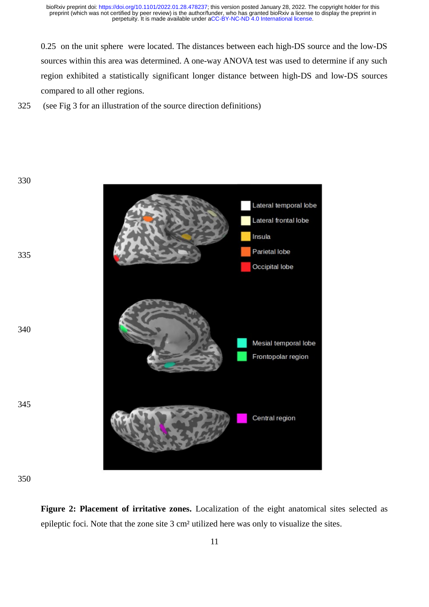0.25 on the unit sphere were located. The distances between each high-DS source and the low-DS sources within this area was determined. A one-way ANOVA test was used to determine if any such region exhibited a statistically significant longer distance between high-DS and low-DS sources compared to all other regions.

 (see Fig 3 for an illustration of the source direction definitions) 325





**Figure 2: Placement of irritative zones.** Localization of the eight anatomical sites selected as epileptic foci. Note that the zone site 3 cm² utilized here was only to visualize the sites.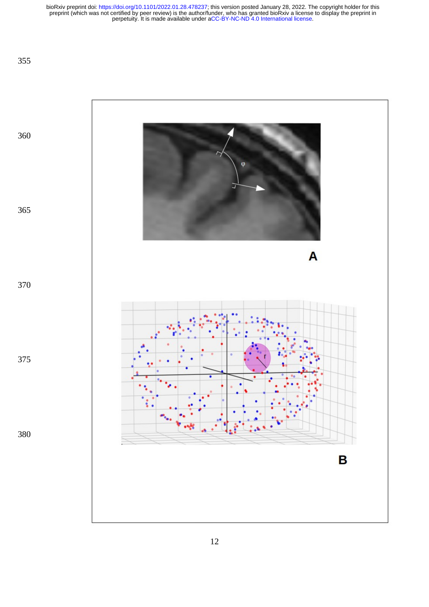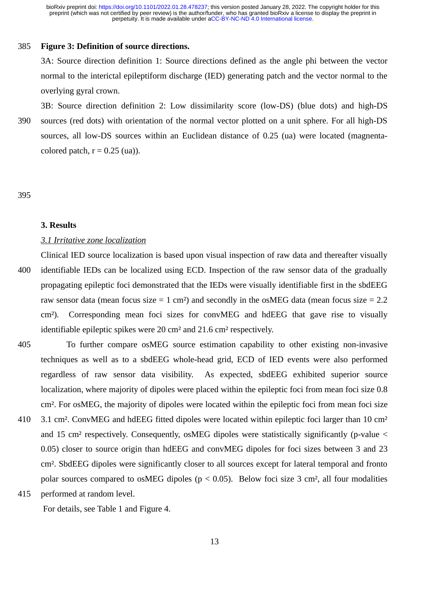#### **Figure 3: Definition of source directions.** 385

3A: Source direction definition 1: Source directions defined as the angle phi between the vector normal to the interictal epileptiform discharge (IED) generating patch and the vector normal to the overlying gyral crown.

3B: Source direction definition 2: Low dissimilarity score (low-DS) (blue dots) and high-DS sources (red dots) with orientation of the normal vector plotted on a unit sphere. For all high-DS sources, all low-DS sources within an Euclidean distance of 0.25 (ua) were located (magnentacolored patch,  $r = 0.25$  (ua)). 390

### 395

### **3. Results**

# *3.1 Irritative zone localization*

Clinical IED source localization is based upon visual inspection of raw data and thereafter visually identifiable IEDs can be localized using ECD. Inspection of the raw sensor data of the gradually propagating epileptic foci demonstrated that the IEDs were visually identifiable first in the sbdEEG raw sensor data (mean focus size  $= 1$  cm<sup>2</sup>) and secondly in the osMEG data (mean focus size  $= 2.2$ cm²). Corresponding mean foci sizes for convMEG and hdEEG that gave rise to visually identifiable epileptic spikes were 20 cm² and 21.6 cm² respectively. 400

- To further compare osMEG source estimation capability to other existing non-invasive techniques as well as to a sbdEEG whole-head grid, ECD of IED events were also performed regardless of raw sensor data visibility. As expected, sbdEEG exhibited superior source localization, where majority of dipoles were placed within the epileptic foci from mean foci size 0.8 cm². For osMEG, the majority of dipoles were located within the epileptic foci from mean foci size 3.1 cm². ConvMEG and hdEEG fitted dipoles were located within epileptic foci larger than 10 cm² and 15 cm<sup>2</sup> respectively. Consequently, osMEG dipoles were statistically significantly (p-value  $\leq$ 0.05) closer to source origin than hdEEG and convMEG dipoles for foci sizes between 3 and 23 cm². SbdEEG dipoles were significantly closer to all sources except for lateral temporal and fronto polar sources compared to osMEG dipoles ( $p < 0.05$ ). Below foci size 3 cm<sup>2</sup>, all four modalities performed at random level. 405 410 415
	- For details, see Table 1 and Figure 4.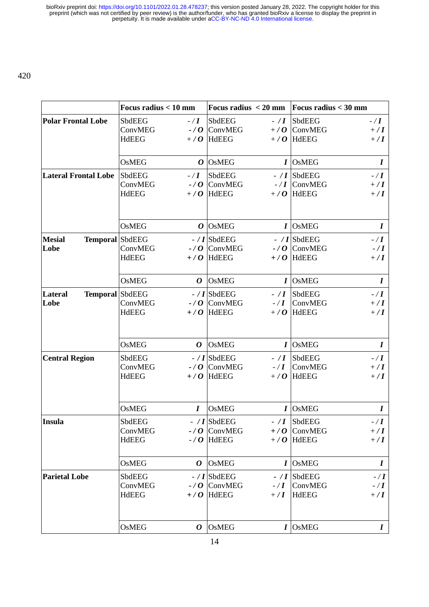|                                           | Focus radius < 10 mm                                                    | Focus radius $\leq$ 20 mm                                                                                           | Focus radius $<$ 30 mm                                                                                     |
|-------------------------------------------|-------------------------------------------------------------------------|---------------------------------------------------------------------------------------------------------------------|------------------------------------------------------------------------------------------------------------|
| <b>Polar Frontal Lobe</b>                 | SbdEEG<br>$-$ / $\bm{I}$<br>ConvMEG<br>$-70$<br><b>HdEEG</b><br>$+$ / O | SbdEEG<br>$-$ / $\bm{I}$<br>ConvMEG<br>$+$ / O<br>HdEEG<br>$+$ / O                                                  | <b>SbdEEG</b><br>$-$ / $\bm{I}$<br>ConvMEG<br>$+ / I$<br><b>HdEEG</b><br>$+ / I$                           |
|                                           | <b>OsMEG</b>                                                            | $O$ OsMEG                                                                                                           | $I$ OsMEG<br>$\bm{I}$                                                                                      |
| <b>Lateral Frontal Lobe</b>               | SbdEEG<br>$-$ / $\bm{I}$<br>ConvMEG<br>$-70$<br><b>HdEEG</b><br>$+$ / O | <b>SbdEEG</b><br>$-$ / $\boldsymbol{I}$<br>ConvMEG<br>HdEEG<br>$+$ / O                                              | SbdEEG<br>$-$ / $\bm{I}$<br>$-$ / I $\vert$ ConvMEG<br>$+ / I$<br><b>HdEEG</b><br>$+ / I$                  |
|                                           | <b>OsMEG</b><br>0                                                       | $\overline{\text{OsMEG}}$                                                                                           | $I$ OsMEG<br>$\bm{I}$                                                                                      |
| <b>Mesial</b><br>Temporal SbdEEG<br>Lobe  | ConvMEG<br><b>HdEEG</b><br>$+$ / O                                      | $-$ / I SbdEEG<br>$-$ / O $\sqrt{C}$ ConvMEG<br><b>HdEEG</b>                                                        | $-$ / I SbdEEG<br>$-$ / $\bm{I}$<br>$-$ / O $\sqrt{C}$ ConvMEG<br>$-$ / $\bm{I}$<br>$+/O$ HdEEG<br>$+ / I$ |
|                                           | <b>OsMEG</b><br>$\boldsymbol{O}$                                        | <b>OsMEG</b><br>$\bm{I}$                                                                                            | OSMEG<br>I                                                                                                 |
| Temporal SbdEEG<br><b>Lateral</b><br>Lobe | ConvMEG<br><b>HdEEG</b><br>$+$ / O                                      | $-$ / I SbdEEG<br>$-$ / $\boldsymbol{I}$<br>$-$ / O $\sqrt{C}$ ConvMEG<br>$-$ / $\bm{I}$<br>HdEEG<br>$+$ / $\bf{0}$ | SbdEEG<br>$-$ / $\bm{I}$<br><b>ConvMEG</b><br>$+ / I$<br>HdEEG<br>$+ / I$                                  |
|                                           | <b>OsMEG</b><br>Ο                                                       | <b>OsMEG</b>                                                                                                        | $I$ OsMEG<br>$\bm{I}$                                                                                      |
| <b>Central Region</b>                     | SbdEEG<br>ConvMEG<br><b>HdEEG</b><br>$+$ / O                            | $-$ / I SbdEEG<br>$-$ / $\boldsymbol{I}$<br>$-$ / O $\sqrt{C}$ ConvMEG<br>$-$ / $\bm{I}$<br><b>HdEEG</b><br>$+$ / O | SbdEEG<br>$-$ / $\bm{I}$<br>ConvMEG<br>$+ / I$<br>HdEEG<br>$+ / I$                                         |
|                                           | <b>OsMEG</b><br>$\boldsymbol{I}$                                        | <b>OsMEG</b>                                                                                                        | $I$ OsMEG<br>$\boldsymbol{I}$                                                                              |
| Insula                                    | SbdEEG<br>ConvMEG<br><b>HdEEG</b><br>$-70$                              | $-$ / I SbdEEG<br>$-$ / $\boldsymbol{I}$<br>$-$ / $O$ $\vert$ ConvMEG<br>$+$ / O<br>HdEEG<br>$+$ / O                | SbdEEG<br>- $\mathbf I$<br> ConvMEG<br>$+/1$<br><b>HdEEG</b><br>$+ / I$                                    |
|                                           | <b>OsMEG</b><br>0                                                       | <b>OsMEG</b><br>I                                                                                                   | OSMEG<br>$\bm{I}$                                                                                          |
| <b>Parietal Lobe</b>                      | SbdEEG<br>ConvMEG<br><b>HdEEG</b><br>$+$ / O                            | $-$ / I SbdEEG<br>$-$ / $\bf{I}$<br>$-$ / $\bf{O}$ ConvMEG<br>$-$ / $\bm{I}$<br><b>HdEEG</b><br>$+ / I$             | SbdEEG<br>$-$ / $\bm{I}$<br><b>ConvMEG</b><br>$-$ / $\bm{I}$<br>HdEEG<br>$+/1$                             |
|                                           | OsMEG<br>0                                                              | <b>OsMEG</b>                                                                                                        | $I$ OsMEG<br>$\bm{I}$                                                                                      |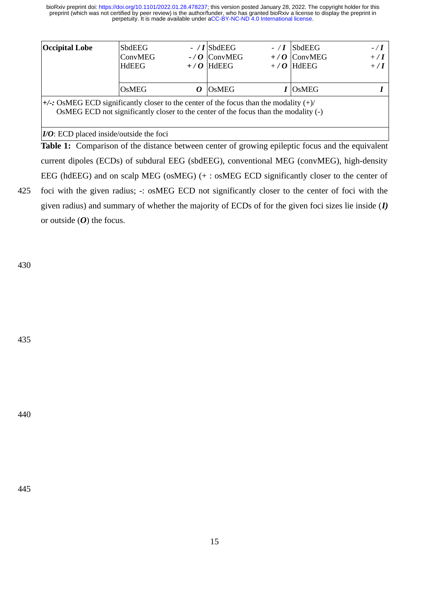| <b>Occipital Lobe</b>                                                                                                                                                                 | <b>SbdEEG</b><br>ConvMEG | $-70$ | $-$ / I SbdEEG<br> ConvMEG | $-$ / I<br>$+$ / O | SbdEEG<br> ConvMEG | $-$ / $\bm{I}$<br>$+$ / $\bf{I}$ |
|---------------------------------------------------------------------------------------------------------------------------------------------------------------------------------------|--------------------------|-------|----------------------------|--------------------|--------------------|----------------------------------|
|                                                                                                                                                                                       | <b>HdEEG</b>             |       | $+$ / O  HdEEG             |                    | $+$ / O  HdEEG     | $+$ / $\bf{I}$                   |
|                                                                                                                                                                                       | <b>OsMEG</b>             | O     | <b>OsMEG</b>               |                    | $I$  OsMEG         |                                  |
| $+\angle$ : OsMEG ECD significantly closer to the center of the focus than the modality $(+)/$<br>OSMEG ECD not significantly closer to the center of the focus than the modality (-) |                          |       |                            |                    |                    |                                  |
| $I/O$ : ECD placed inside/outside the foci                                                                                                                                            |                          |       |                            |                    |                    |                                  |

**Table 1:** Comparison of the distance between center of growing epileptic focus and the equivalent current dipoles (ECDs) of subdural EEG (sbdEEG), conventional MEG (convMEG), high-density EEG (hdEEG) and on scalp MEG (osMEG) (+ : osMEG ECD significantly closer to the center of foci with the given radius; -: osMEG ECD not significantly closer to the center of foci with the

given radius) and summary of whether the majority of ECDs of for the given foci sizes lie inside (*I)* or outside (*O*) the focus.

430

435

425

440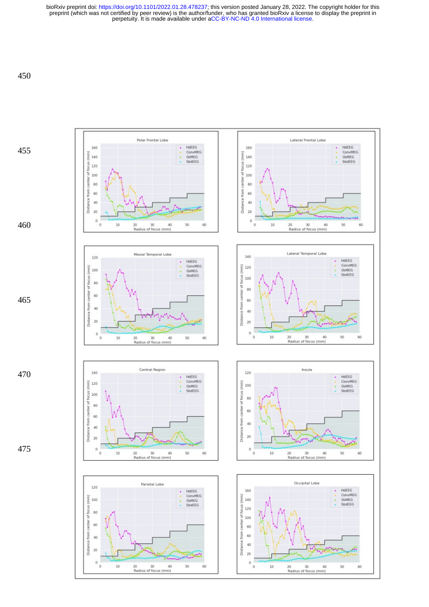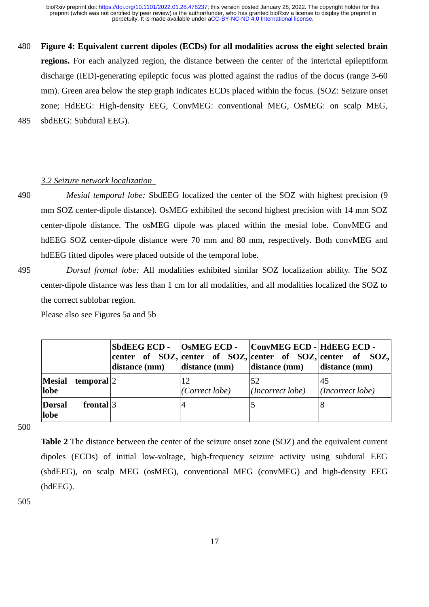**Figure 4: Equivalent current dipoles (ECDs) for all modalities across the eight selected brain regions.** For each analyzed region, the distance between the center of the interictal epileptiform discharge (IED)-generating epileptic focus was plotted against the radius of the docus (range 3-60 mm). Green area below the step graph indicates ECDs placed within the focus. (SOZ: Seizure onset zone; HdEEG: High-density EEG, ConvMEG: conventional MEG, OsMEG: on scalp MEG, sbdEEG: Subdural EEG). 480 485

### *3.2 S eizure network localization*

490

*Mesial temporal lobe:* SbdEEG localized the center of the SOZ with highest precision (9 mm SOZ center-dipole distance). OsMEG exhibited the second highest precision with 14 mm SOZ center-dipole distance. The osMEG dipole was placed within the mesial lobe. ConvMEG and hdEEG SOZ center-dipole distance were 70 mm and 80 mm, respectively. Both convMEG and hdEEG fitted dipoles were placed outside of the temporal lobe.

495

*Dorsal frontal lobe:* All modalities exhibited similar SOZ localization ability. The SOZ center-dipole distance was less than 1 cm for all modalities, and all modalities localized the SOZ to the correct sublobar region.

Please also see Figures 5a and 5b

|                |                                                  | distance (mm) | distance (mm)  | SbdEEG ECD -   OsMEG ECD -   ConvMEG ECD -   HdEEG ECD -<br>distance (mm) | center of SOZ, center of SOZ, center of SOZ, center of SOZ,<br>distance (mm) |
|----------------|--------------------------------------------------|---------------|----------------|---------------------------------------------------------------------------|------------------------------------------------------------------------------|
| lobe           | $ \mathbf{M}\mathbf{e}\mathbf{s}$ ial temporal 2 |               | (Correct lobe) | 52<br>(Incorrect lobe)                                                    | -45<br>$  (Incorrect \, lobe)$                                               |
| Dorsal<br>lobe | frontal $ 3 $                                    |               | 4              |                                                                           |                                                                              |

500

**Table 2** The distance between the center of the seizure onset zone (SOZ) and the equivalent current dipoles (ECDs) of initial low-voltage, high-frequency seizure activity using subdural EEG (sbdEEG), on scalp MEG (osMEG), conventional MEG (convMEG) and high-density EEG (hdEEG).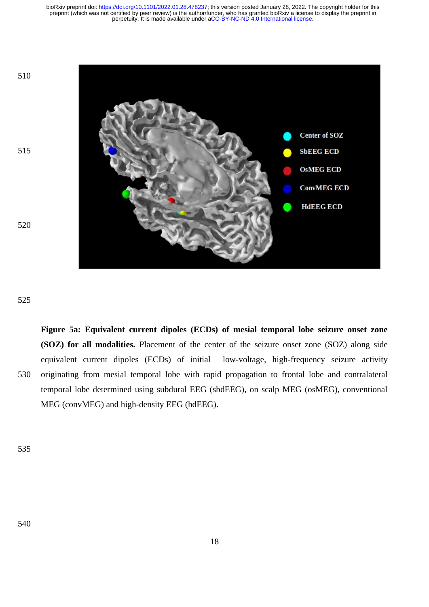

525

**Figure 5a: Equivalent current dipoles (ECDs) of mesial temporal lobe seizure onset zone (SOZ) for all modalities.** Placement of the center of the seizure onset zone (SOZ) along side equivalent current dipoles (ECDs) of initial low-voltage, high-frequency seizure activity originating from mesial temporal lobe with rapid propagation to frontal lobe and contralateral temporal lobe determined using subdural EEG (sbdEEG), on scalp MEG (osMEG), conventional MEG (convMEG) and high-density EEG (hdEEG). 530

535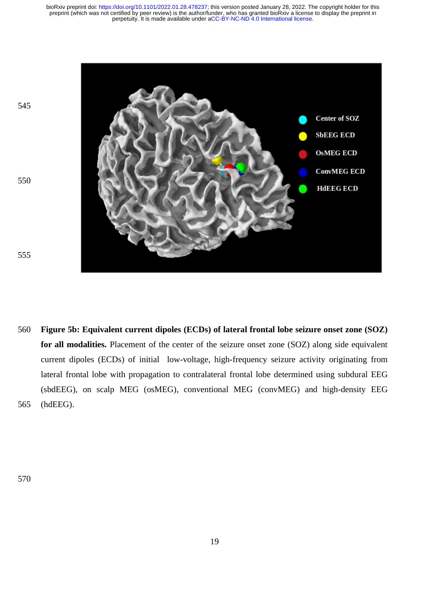

**Figure 5b: Equivalent current dipoles (ECDs) of lateral frontal lobe seizure onset zone (SOZ) for all modalities.** Placement of the center of the seizure onset zone (SOZ) along side equivalent current dipoles (ECDs) of initial low-voltage, high-frequency seizure activity originating from lateral frontal lobe with propagation to contralateral frontal lobe determined using subdural EEG (sbdEEG), on scalp MEG (osMEG), conventional MEG (convMEG) and high-density EEG (hdEEG). 560 565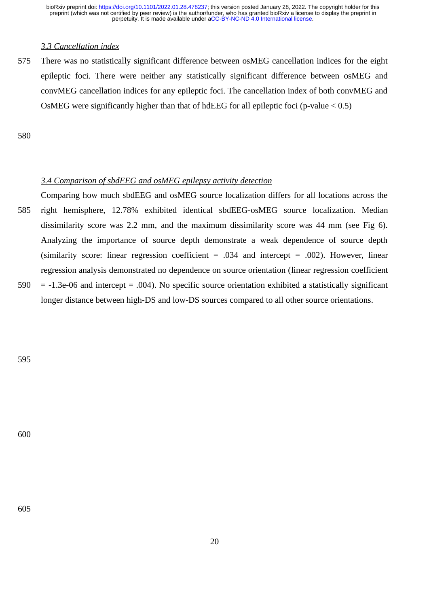# *3.3 Cancellation index*

There was no statistically significant difference between osMEG cancellation indices for the eight epileptic foci. There were neither any statistically significant difference between osMEG and convMEG cancellation indices for any epileptic foci. The cancellation index of both convMEG and OsMEG were significantly higher than that of hdEEG for all epileptic foci (p-value < 0.5) 575

580

# *3.4 Comparison of sbdEEG and osMEG epilepsy activity detection*

- Comparing how much sbdEEG and osMEG source localization differs for all locations across the right hemisphere, 12.78% exhibited identical sbdEEG-osMEG source localization. Median dissimilarity score was 2.2 mm, and the maximum dissimilarity score was 44 mm (see Fig 6). Analyzing the importance of source depth demonstrate a weak dependence of source depth (similarity score: linear regression coefficient  $= .034$  and intercept  $= .002$ ). However, linear regression analysis demonstrated no dependence on source orientation (linear regression coefficient = -1.3e-06 and intercept = .004). No specific source orientation exhibited a statistically significant 585 590
- longer distance between high-DS and low-DS sources compared to all other source orientations.

595

600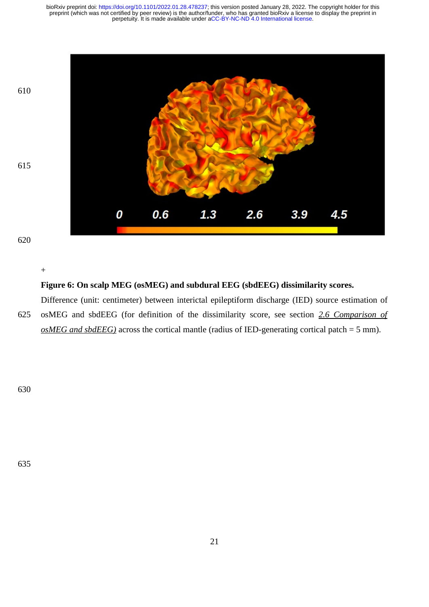

+

# **Figure 6: On scalp MEG (osMEG) and subdural EEG (sbdEEG) dissimilarity scores.**

Difference (unit: centimeter) between interictal epileptiform discharge (IED) source estimation of osMEG and sbdEEG (for definition of the dissimilarity score, see section *2.6 Comparison of osMEG and sbdEEG)* across the cortical mantle (radius of IED-generating cortical patch = 5 mm). 625

630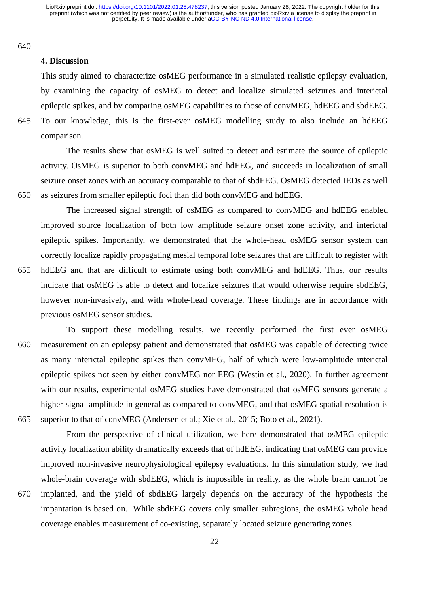640

645

650

### **4. Discussion**

This study aimed to characterize osMEG performance in a simulated realistic epilepsy evaluation, by examining the capacity of osMEG to detect and localize simulated seizures and interictal epileptic spikes, and by comparing osMEG capabilities to those of convMEG, hdEEG and sbdEEG. To our knowledge, this is the first-ever osMEG modelling study to also include an hdEEG comparison.

The results show that osMEG is well suited to detect and estimate the source of epileptic activity. OsMEG is superior to both convMEG and hdEEG, and succeeds in localization of small seizure onset zones with an accuracy comparable to that of sbdEEG. OsMEG detected IEDs as well as seizures from smaller epileptic foci than did both convMEG and hdEEG.

The increased signal strength of osMEG as compared to convMEG and hdEEG enabled improved source localization of both low amplitude seizure onset zone activity, and interictal epileptic spikes. Importantly, we demonstrated that the whole-head osMEG sensor system can correctly localize rapidly propagating mesial temporal lobe seizures that are difficult to register with hdEEG and that are difficult to estimate using both convMEG and hdEEG. Thus, our results indicate that osMEG is able to detect and localize seizures that would otherwise require sbdEEG, however non-invasively, and with whole-head coverage. These findings are in accordance with previous osMEG sensor studies. 655

To support these modelling results, we recently performed the first ever osMEG measurement on an epilepsy patient and demonstrated that osMEG was capable of detecting twice as many interictal epileptic spikes than convMEG, half of which were low-amplitude interictal epileptic spikes not seen by either convMEG nor EEG (Westin et al., 2020). In further agreement with our results, experimental osMEG studies have demonstrated that osMEG sensors generate a higher signal amplitude in general as compared to convMEG, and that osMEG spatial resolution is superior to that of convMEG (Andersen et al.; Xie et al., 2015; Boto et al., 2021). 660 665

From the perspective of clinical utilization, we here demonstrated that osMEG epileptic activity localization ability dramatically exceeds that of hdEEG, indicating that osMEG can provide improved non-invasive neurophysiological epilepsy evaluations. In this simulation study, we had whole-brain coverage with sbdEEG, which is impossible in reality, as the whole brain cannot be

implanted, and the yield of sbdEEG largely depends on the accuracy of the hypothesis the impantation is based on. While sbdEEG covers only smaller subregions, the osMEG whole head coverage enables measurement of co-existing, separately located seizure generating zones. 670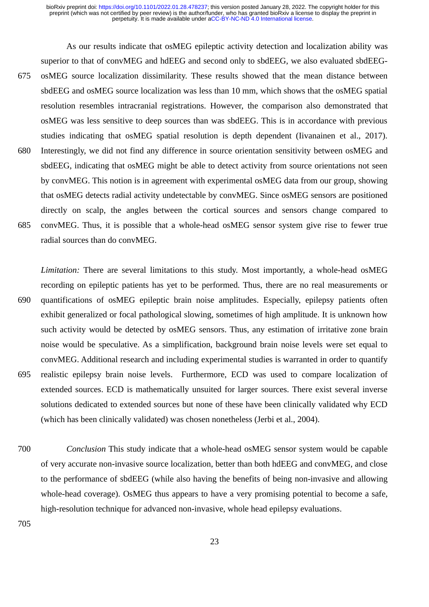As our results indicate that osMEG epileptic activity detection and localization ability was superior to that of convMEG and hdEEG and second only to sbdEEG, we also evaluated sbdEEGosMEG source localization dissimilarity. These results showed that the mean distance between sbdEEG and osMEG source localization was less than 10 mm, which shows that the osMEG spatial resolution resembles intracranial registrations. However, the comparison also demonstrated that osMEG was less sensitive to deep sources than was sbdEEG. This is in accordance with previous studies indicating that osMEG spatial resolution is depth dependent (Iivanainen et al., 2017). Interestingly, we did not find any difference in source orientation sensitivity between osMEG and sbdEEG, indicating that osMEG might be able to detect activity from source orientations not seen by convMEG. This notion is in agreement with experimental osMEG data from our group, showing that osMEG detects radial activity undetectable by convMEG. Since osMEG sensors are positioned directly on scalp, the angles between the cortical sources and sensors change compared to convMEG. Thus, it is possible that a whole-head osMEG sensor system give rise to fewer true radial sources than do convMEG. 675 680 685

*Limitation:* There are several limitations to this study. Most importantly, a whole-head osMEG recording on epileptic patients has yet to be performed. Thus, there are no real measurements or quantifications of osMEG epileptic brain noise amplitudes. Especially, epilepsy patients often exhibit generalized or focal pathological slowing, sometimes of high amplitude. It is unknown how such activity would be detected by osMEG sensors. Thus, any estimation of irritative zone brain noise would be speculative. As a simplification, background brain noise levels were set equal to convMEG. Additional research and including experimental studies is warranted in order to quantify realistic epilepsy brain noise levels. Furthermore, ECD was used to compare localization of extended sources. ECD is mathematically unsuited for larger sources. There exist several inverse solutions dedicated to extended sources but none of these have been clinically validated why ECD (which has been clinically validated) was chosen nonetheless (Jerbi et al., 2004). 690 695

*Conclusion* This study indicate that a whole-head osMEG sensor system would be capable of very accurate non-invasive source localization, better than both hdEEG and convMEG, and close to the performance of sbdEEG (while also having the benefits of being non-invasive and allowing whole-head coverage). OsMEG thus appears to have a very promising potential to become a safe, high-resolution technique for advanced non-invasive, whole head epilepsy evaluations. 700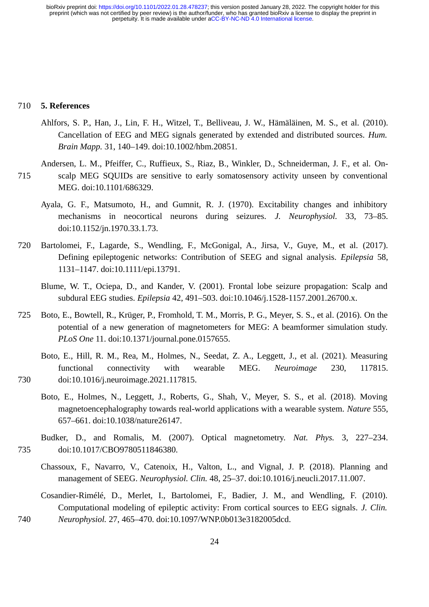#### **5. References** 710

- Ahlfors, S. P., Han, J., Lin, F. H., Witzel, T., Belliveau, J. W., Hämäläinen, M. S., et al. (2010). Cancellation of EEG and MEG signals generated by extended and distributed sources. *Hum. Brain Mapp.* 31, 140–149. doi:10.1002/hbm.20851.
- Andersen, L. M., Pfeiffer, C., Ruffieux, S., Riaz, B., Winkler, D., Schneiderman, J. F., et al. Onscalp MEG SQUIDs are sensitive to early somatosensory activity unseen by conventional MEG. doi:10.1101/686329. 715
	- Ayala, G. F., Matsumoto, H., and Gumnit, R. J. (1970). Excitability changes and inhibitory mechanisms in neocortical neurons during seizures. *J. Neurophysiol.* 33, 73–85. doi:10.1152/jn.1970.33.1.73.
- Bartolomei, F., Lagarde, S., Wendling, F., McGonigal, A., Jirsa, V., Guye, M., et al. (2017). Defining epileptogenic networks: Contribution of SEEG and signal analysis. *Epilepsia* 58, 1131–1147. doi:10.1111/epi.13791. 720
	- Blume, W. T., Ociepa, D., and Kander, V. (2001). Frontal lobe seizure propagation: Scalp and subdural EEG studies. *Epilepsia* 42, 491–503. doi:10.1046/j.1528-1157.2001.26700.x.
- Boto, E., Bowtell, R., Krüger, P., Fromhold, T. M., Morris, P. G., Meyer, S. S., et al. (2016). On the potential of a new generation of magnetometers for MEG: A beamformer simulation study. *PLoS One* 11. doi:10.1371/journal.pone.0157655. 725
	- Boto, E., Hill, R. M., Rea, M., Holmes, N., Seedat, Z. A., Leggett, J., et al. (2021). Measuring functional connectivity with wearable MEG. *Neuroimage* 230, 117815. doi:10.1016/j.neuroimage.2021.117815.
	- Boto, E., Holmes, N., Leggett, J., Roberts, G., Shah, V., Meyer, S. S., et al. (2018). Moving magnetoencephalography towards real-world applications with a wearable system. *Nature* 555, 657–661. doi:10.1038/nature26147.
- Budker, D., and Romalis, M. (2007). Optical magnetometry. *Nat. Phys.* 3, 227–234. doi:10.1017/CBO9780511846380. 735
	- Chassoux, F., Navarro, V., Catenoix, H., Valton, L., and Vignal, J. P. (2018). Planning and management of SEEG. *Neurophysiol. Clin.* 48, 25–37. doi:10.1016/j.neucli.2017.11.007.
- Cosandier-Rimélé, D., Merlet, I., Bartolomei, F., Badier, J. M., and Wendling, F. (2010). Computational modeling of epileptic activity: From cortical sources to EEG signals. *J. Clin. Neurophysiol.* 27, 465–470. doi:10.1097/WNP.0b013e3182005dcd. 740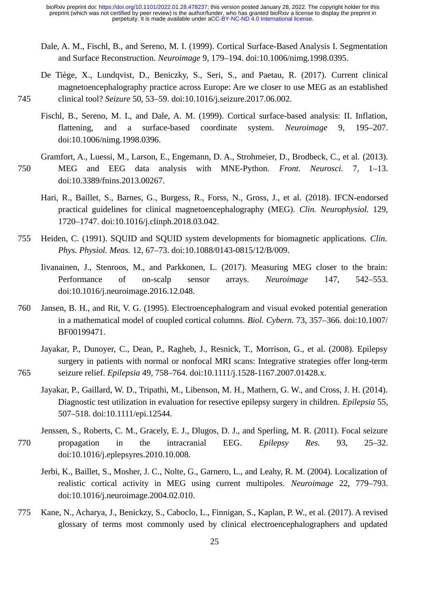- Dale, A. M., Fischl, B., and Sereno, M. I. (1999). Cortical Surface-Based Analysis I. Segmentation and Surface Reconstruction. *Neuroimage* 9, 179–194. doi:10.1006/nimg.1998.0395.
- De Tiège, X., Lundqvist, D., Beniczky, S., Seri, S., and Paetau, R. (2017). Current clinical magnetoencephalography practice across Europe: Are we closer to use MEG as an established clinical tool? *Seizure* 50, 53–59. doi:10.1016/j.seizure.2017.06.002.

745

- Fischl, B., Sereno, M. I., and Dale, A. M. (1999). Cortical surface-based analysis: II. Inflation, flattening, and a surface-based coordinate system. *Neuroimage* 9, 195–207. doi:10.1006/nimg.1998.0396.
- Gramfort, A., Luessi, M., Larson, E., Engemann, D. A., Strohmeier, D., Brodbeck, C., et al. (2013). MEG and EEG data analysis with MNE-Python. *Front. Neurosci.* 7, 1–13. doi:10.3389/fnins.2013.00267. 750
	- Hari, R., Baillet, S., Barnes, G., Burgess, R., Forss, N., Gross, J., et al. (2018). IFCN-endorsed practical guidelines for clinical magnetoencephalography (MEG). *Clin. Neurophysiol.* 129, 1720–1747. doi:10.1016/j.clinph.2018.03.042.
- Heiden, C. (1991). SQUID and SQUID system developments for biomagnetic applications. *Clin. Phys. Physiol. Meas.* 12, 67–73. doi:10.1088/0143-0815/12/B/009. 755
	- Iivanainen, J., Stenroos, M., and Parkkonen, L. (2017). Measuring MEG closer to the brain: Performance of on-scalp sensor arrays. *Neuroimage* 147, 542–553. doi:10.1016/j.neuroimage.2016.12.048.
- Jansen, B. H., and Rit, V. G. (1995). Electroencephalogram and visual evoked potential generation in a mathematical model of coupled cortical columns. *Biol. Cybern.* 73, 357–366. doi:10.1007/ BF00199471. 760
	- Jayakar, P., Dunoyer, C., Dean, P., Ragheb, J., Resnick, T., Morrison, G., et al. (2008). Epilepsy surgery in patients with normal or nonfocal MRI scans: Integrative strategies offer long-term seizure relief. *Epilepsia* 49, 758–764. doi:10.1111/j.1528-1167.2007.01428.x.
		- Jayakar, P., Gaillard, W. D., Tripathi, M., Libenson, M. H., Mathern, G. W., and Cross, J. H. (2014). Diagnostic test utilization in evaluation for resective epilepsy surgery in children. *Epilepsia* 55, 507–518. doi:10.1111/epi.12544.
- Jenssen, S., Roberts, C. M., Gracely, E. J., Dlugos, D. J., and Sperling, M. R. (2011). Focal seizure propagation in the intracranial EEG. *Epilepsy Res.* 93, 25–32. doi:10.1016/j.eplepsyres.2010.10.008. 770
	- Jerbi, K., Baillet, S., Mosher, J. C., Nolte, G., Garnero, L., and Leahy, R. M. (2004). Localization of realistic cortical activity in MEG using current multipoles. *Neuroimage* 22, 779–793. doi:10.1016/j.neuroimage.2004.02.010.
- Kane, N., Acharya, J., Benickzy, S., Caboclo, L., Finnigan, S., Kaplan, P. W., et al. (2017). A revised glossary of terms most commonly used by clinical electroencephalographers and updated 775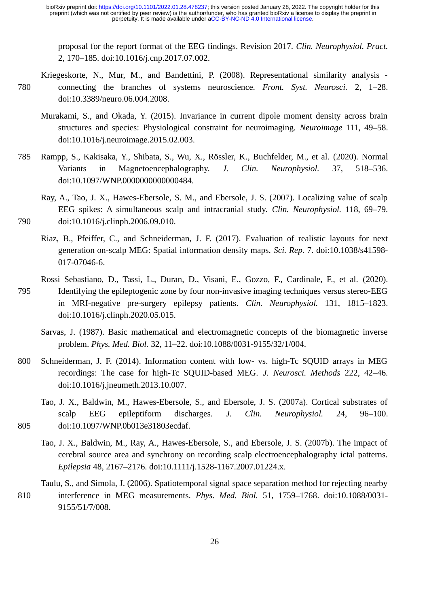proposal for the report format of the EEG findings. Revision 2017. *Clin. Neurophysiol. Pract.* 2, 170–185. doi:10.1016/j.cnp.2017.07.002.

- Kriegeskorte, N., Mur, M., and Bandettini, P. (2008). Representational similarity analysis connecting the branches of systems neuroscience. *Front. Syst. Neurosci.* 2, 1–28. doi:10.3389/neuro.06.004.2008. 780
	- Murakami, S., and Okada, Y. (2015). Invariance in current dipole moment density across brain structures and species: Physiological constraint for neuroimaging. *Neuroimage* 111, 49–58. doi:10.1016/j.neuroimage.2015.02.003.
- Rampp, S., Kakisaka, Y., Shibata, S., Wu, X., Rössler, K., Buchfelder, M., et al. (2020). Normal Variants in Magnetoencephalography. *J. Clin. Neurophysiol.* 37, 518–536. doi:10.1097/WNP.0000000000000484. 785
- Ray, A., Tao, J. X., Hawes-Ebersole, S. M., and Ebersole, J. S. (2007). Localizing value of scalp EEG spikes: A simultaneous scalp and intracranial study. *Clin. Neurophysiol.* 118, 69–79. doi:10.1016/j.clinph.2006.09.010. 790
	- Riaz, B., Pfeiffer, C., and Schneiderman, J. F. (2017). Evaluation of realistic layouts for next generation on-scalp MEG: Spatial information density maps. *Sci. Rep.* 7. doi:10.1038/s41598- 017-07046-6.
- Rossi Sebastiano, D., Tassi, L., Duran, D., Visani, E., Gozzo, F., Cardinale, F., et al. (2020). Identifying the epileptogenic zone by four non-invasive imaging techniques versus stereo-EEG in MRI-negative pre-surgery epilepsy patients. *Clin. Neurophysiol.* 131, 1815–1823. doi:10.1016/j.clinph.2020.05.015. 795
	- Sarvas, J. (1987). Basic mathematical and electromagnetic concepts of the biomagnetic inverse problem. *Phys. Med. Biol.* 32, 11–22. doi:10.1088/0031-9155/32/1/004.
- Schneiderman, J. F. (2014). Information content with low- vs. high-Tc SQUID arrays in MEG recordings: The case for high-Tc SQUID-based MEG. *J. Neurosci. Methods* 222, 42–46. doi:10.1016/j.jneumeth.2013.10.007. 800
- Tao, J. X., Baldwin, M., Hawes-Ebersole, S., and Ebersole, J. S. (2007a). Cortical substrates of scalp EEG epileptiform discharges. *J. Clin. Neurophysiol.* 24, 96–100. doi:10.1097/WNP.0b013e31803ecdaf. 805
	- Tao, J. X., Baldwin, M., Ray, A., Hawes-Ebersole, S., and Ebersole, J. S. (2007b). The impact of cerebral source area and synchrony on recording scalp electroencephalography ictal patterns. *Epilepsia* 48, 2167–2176. doi:10.1111/j.1528-1167.2007.01224.x.
- Taulu, S., and Simola, J. (2006). Spatiotemporal signal space separation method for rejecting nearby interference in MEG measurements. *Phys. Med. Biol.* 51, 1759–1768. doi:10.1088/0031- 9155/51/7/008. 810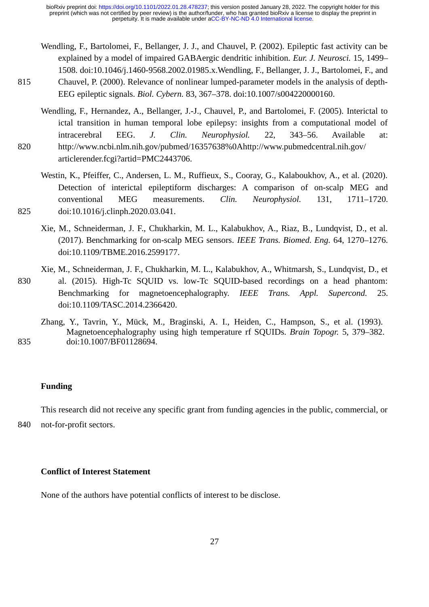- Wendling, F., Bartolomei, F., Bellanger, J. J., and Chauvel, P. (2002). Epileptic fast activity can be explained by a model of impaired GABAergic dendritic inhibition. *Eur. J. Neurosci.* 15, 1499– 1508. doi:10.1046/j.1460-9568.2002.01985.x.Wendling, F., Bellanger, J. J., Bartolomei, F., and Chauvel, P. (2000). Relevance of nonlinear lumped-parameter models in the analysis of depth-EEG epileptic signals. *Biol. Cybern.* 83, 367–378. doi:10.1007/s004220000160.
- Wendling, F., Hernandez, A., Bellanger, J.-J., Chauvel, P., and Bartolomei, F. (2005). Interictal to ictal transition in human temporal lobe epilepsy: insights from a computational model of intracerebral EEG. *J. Clin. Neurophysiol.* 22, 343–56. Available at: http://www.ncbi.nlm.nih.gov/pubmed/16357638%0Ahttp://www.pubmedcentral.nih.gov/ articlerender.fcgi?artid=PMC2443706. 820
	- Westin, K., Pfeiffer, C., Andersen, L. M., Ruffieux, S., Cooray, G., Kalaboukhov, A., et al. (2020). Detection of interictal epileptiform discharges: A comparison of on-scalp MEG and conventional MEG measurements. *Clin. Neurophysiol.* 131, 1711–1720. doi:10.1016/j.clinph.2020.03.041.
	- Xie, M., Schneiderman, J. F., Chukharkin, M. L., Kalabukhov, A., Riaz, B., Lundqvist, D., et al. (2017). Benchmarking for on-scalp MEG sensors. *IEEE Trans. Biomed. Eng.* 64, 1270–1276. doi:10.1109/TBME.2016.2599177.
- Xie, M., Schneiderman, J. F., Chukharkin, M. L., Kalabukhov, A., Whitmarsh, S., Lundqvist, D., et al. (2015). High-Tc SQUID vs. low-Tc SQUID-based recordings on a head phantom: Benchmarking for magnetoencephalography. *IEEE Trans. Appl. Supercond.* 25. doi:10.1109/TASC.2014.2366420. 830
- Zhang, Y., Tavrin, Y., Mück, M., Braginski, A. I., Heiden, C., Hampson, S., et al. (1993). Magnetoencephalography using high temperature rf SQUIDs. *Brain Topogr.* 5, 379–382. doi:10.1007/BF01128694. 835

### **Funding**

815

825

This research did not receive any specific grant from funding agencies in the public, commercial, or

not-for-profit sectors. 840

# **Conflict of Interest Statement**

None of the authors have potential conflicts of interest to be disclose.